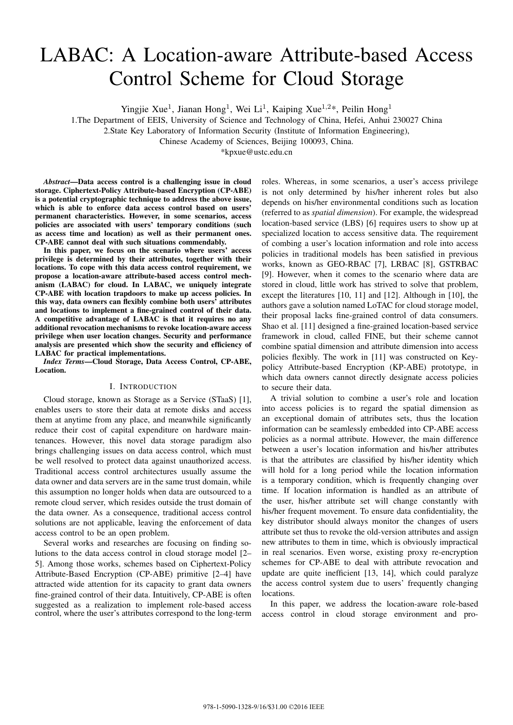# LABAC: A Location-aware Attribute-based Access Control Scheme for Cloud Storage

Yingjie Xue<sup>1</sup>, Jianan Hong<sup>1</sup>, Wei Li<sup>1</sup>, Kaiping Xue<sup>1,2\*</sup>, Peilin Hong<sup>1</sup>

1.The Department of EEIS, University of Science and Technology of China, Hefei, Anhui 230027 China

2.State Key Laboratory of Information Security (Institute of Information Engineering),

Chinese Academy of Sciences, Beijing 100093, China.

\*kpxue@ustc.edu.cn

*Abstract***—Data access control is a challenging issue in cloud storage. Ciphertext-Policy Attribute-based Encryption (CP-ABE) is a potential cryptographic technique to address the above issue, which is able to enforce data access control based on users' permanent characteristics. However, in some scenarios, access policies are associated with users' temporary conditions (such as access time and location) as well as their permanent ones. CP-ABE cannot deal with such situations commendably.**

**In this paper, we focus on the scenario where users' access privilege is determined by their attributes, together with their locations. To cope with this data access control requirement, we propose a location-aware attribute-based access control mechanism (LABAC) for cloud. In LABAC, we uniquely integrate CP-ABE with location trapdoors to make up access policies. In this way, data owners can flexibly combine both users' attributes and locations to implement a fine-grained control of their data. A competitive advantage of LABAC is that it requires no any additional revocation mechanisms to revoke location-aware access privilege when user location changes. Security and performance analysis are presented which show the security and efficiency of LABAC for practical implementations.**

*Index Terms***—Cloud Storage, Data Access Control, CP-ABE, Location.**

## I. INTRODUCTION

Cloud storage, known as Storage as a Service (STaaS) [1], enables users to store their data at remote disks and access them at anytime from any place, and meanwhile significantly reduce their cost of capital expenditure on hardware maintenances. However, this novel data storage paradigm also brings challenging issues on data access control, which must be well resolved to protect data against unauthorized access. Traditional access control architectures usually assume the data owner and data servers are in the same trust domain, while this assumption no longer holds when data are outsourced to a remote cloud server, which resides outside the trust domain of the data owner. As a consequence, traditional access control solutions are not applicable, leaving the enforcement of data access control to be an open problem.

Several works and researches are focusing on finding solutions to the data access control in cloud storage model [2– 5]. Among those works, schemes based on Ciphertext-Policy Attribute-Based Encryption (CP-ABE) primitive [2–4] have attracted wide attention for its capacity to grant data owners fine-grained control of their data. Intuitively, CP-ABE is often suggested as a realization to implement role-based access control, where the user's attributes correspond to the long-term

roles. Whereas, in some scenarios, a user's access privilege is not only determined by his/her inherent roles but also depends on his/her environmental conditions such as location (referred to as *spatial dimension*). For example, the widespread location-based service (LBS) [6] requires users to show up at specialized location to access sensitive data. The requirement of combing a user's location information and role into access policies in traditional models has been satisfied in previous works, known as GEO-RBAC [7], LRBAC [8], GSTRBAC [9]. However, when it comes to the scenario where data are stored in cloud, little work has strived to solve that problem, except the literatures [10, 11] and [12]. Although in [10], the authors gave a solution named LoTAC for cloud storage model, their proposal lacks fine-grained control of data consumers. Shao et al. [11] designed a fine-grained location-based service framework in cloud, called FINE, but their scheme cannot combine spatial dimension and attribute dimension into access policies flexibly. The work in [11] was constructed on Keypolicy Attribute-based Encryption (KP-ABE) prototype, in which data owners cannot directly designate access policies to secure their data.

A trivial solution to combine a user's role and location into access policies is to regard the spatial dimension as an exceptional domain of attributes sets, thus the location information can be seamlessly embedded into CP-ABE access policies as a normal attribute. However, the main difference between a user's location information and his/her attributes is that the attributes are classified by his/her identity which will hold for a long period while the location information is a temporary condition, which is frequently changing over time. If location information is handled as an attribute of the user, his/her attribute set will change constantly with his/her frequent movement. To ensure data confidentiality, the key distributor should always monitor the changes of users attribute set thus to revoke the old-version attributes and assign new attributes to them in time, which is obviously impractical in real scenarios. Even worse, existing proxy re-encryption schemes for CP-ABE to deal with attribute revocation and update are quite inefficient [13, 14], which could paralyze the access control system due to users' frequently changing locations.

In this paper, we address the location-aware role-based access control in cloud storage environment and pro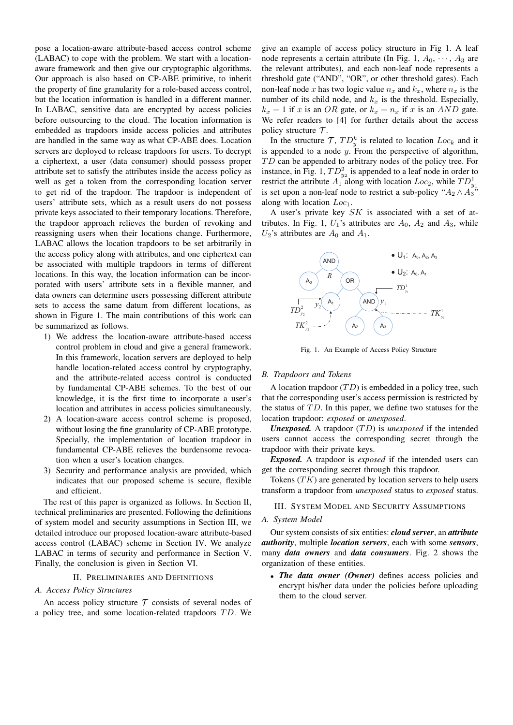pose a location-aware attribute-based access control scheme (LABAC) to cope with the problem. We start with a locationaware framework and then give our cryptographic algorithms. Our approach is also based on CP-ABE primitive, to inherit the property of fine granularity for a role-based access control, but the location information is handled in a different manner. In LABAC, sensitive data are encrypted by access policies before outsourcing to the cloud. The location information is embedded as trapdoors inside access policies and attributes are handled in the same way as what CP-ABE does. Location servers are deployed to release trapdoors for users. To decrypt a ciphertext, a user (data consumer) should possess proper attribute set to satisfy the attributes inside the access policy as well as get a token from the corresponding location server to get rid of the trapdoor. The trapdoor is independent of users' attribute sets, which as a result users do not possess private keys associated to their temporary locations. Therefore, the trapdoor approach relieves the burden of revoking and reassigning users when their locations change. Furthermore, LABAC allows the location trapdoors to be set arbitrarily in the access policy along with attributes, and one ciphertext can be associated with multiple trapdoors in terms of different locations. In this way, the location information can be incorporated with users' attribute sets in a flexible manner, and data owners can determine users possessing different attribute sets to access the same datum from different locations, as shown in Figure 1. The main contributions of this work can be summarized as follows.

- 1) We address the location-aware attribute-based access control problem in cloud and give a general framework. In this framework, location servers are deployed to help handle location-related access control by cryptography, and the attribute-related access control is conducted by fundamental CP-ABE schemes. To the best of our knowledge, it is the first time to incorporate a user's location and attributes in access policies simultaneously.
- 2) A location-aware access control scheme is proposed, without losing the fine granularity of CP-ABE prototype. Specially, the implementation of location trapdoor in fundamental CP-ABE relieves the burdensome revocation when a user's location changes.
- 3) Security and performance analysis are provided, which indicates that our proposed scheme is secure, flexible and efficient.

The rest of this paper is organized as follows. In Section II, technical preliminaries are presented. Following the definitions of system model and security assumptions in Section III, we detailed introduce our proposed location-aware attribute-based access control (LABAC) scheme in Section IV. We analyze LABAC in terms of security and performance in Section V. Finally, the conclusion is given in Section VI.

## II. PRELIMINARIES AND DEFINITIONS

# *A. Access Policy Structures*

An access policy structure  $T$  consists of several nodes of a policy tree, and some location-related trapdoors  $TD$ . We

give an example of access policy structure in Fig 1. A leaf node represents a certain attribute (In Fig. 1,  $A_0, \dots, A_3$  are the relevant attributes), and each non-leaf node represents a threshold gate ("AND", "OR", or other threshold gates). Each non-leaf node x has two logic value  $n_x$  and  $k_x$ , where  $n_x$  is the number of its child node, and  $k_x$  is the threshold. Especially,  $k_x = 1$  if x is an OR gate, or  $k_x = n_x$  if x is an AND gate. We refer readers to [4] for further details about the access policy structure  $\mathcal{T}$ .

In the structure  $\mathcal{T}$ ,  $TD_y^k$  is related to location  $Loc_k$  and it is appended to a node  $y$ . From the perspective of algorithm,  $TD$  can be appended to arbitrary nodes of the policy tree. For instance, in Fig. 1,  $TD_{y_2}^2$  is appended to a leaf node in order to restrict the attribute  $A_1$  along with location  $Loc_2$ , while  $TD_{y_1}^1$ is set upon a non-leaf node to restrict a sub-policy " $A_2 \wedge A_3$ " along with location  $Loc_1$ .

A user's private key  $SK$  is associated with a set of attributes. In Fig. 1,  $U_1$ 's attributes are  $A_0$ ,  $A_2$  and  $A_3$ , while  $U_2$ 's attributes are  $A_0$  and  $A_1$ .



Fig. 1. An Example of Access Policy Structure

## *B. Trapdoors and Tokens*

A location trapdoor  $(TD)$  is embedded in a policy tree, such that the corresponding user's access permission is restricted by the status of  $TD$ . In this paper, we define two statuses for the location trapdoor: *exposed* or *unexposed*.

**Unexposed.** A trapdoor  $(TD)$  is *unexposed* if the intended users cannot access the corresponding secret through the trapdoor with their private keys.

*Exposed.* A trapdoor is *exposed* if the intended users can get the corresponding secret through this trapdoor.

Tokens  $(TK)$  are generated by location servers to help users transform a trapdoor from *unexposed* status to *exposed* status.

#### III. SYSTEM MODEL AND SECURITY ASSUMPTIONS

#### *A. System Model*

Our system consists of six entities: *cloud server*, an *attribute authority*, multiple *location servers*, each with some *sensors*, many *data owners* and *data consumers*. Fig. 2 shows the organization of these entities.

• *The data owner (Owner)* defines access policies and encrypt his/her data under the policies before uploading them to the cloud server.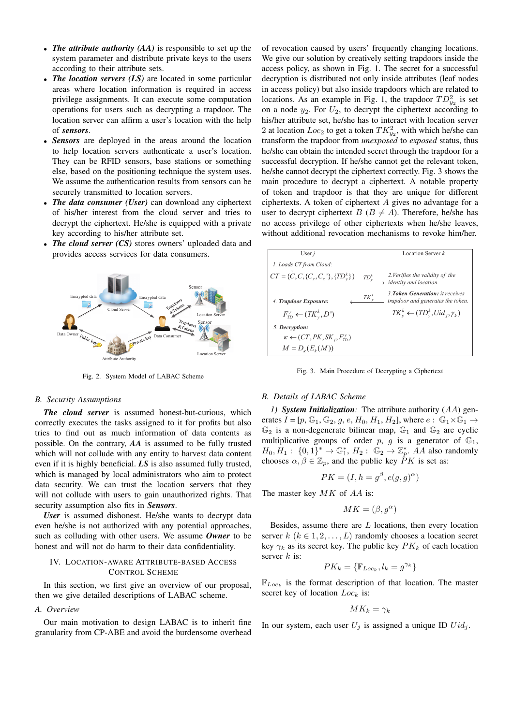- <sup>∙</sup> *The attribute authority (AA)* is responsible to set up the system parameter and distribute private keys to the users according to their attribute sets.
- <sup>∙</sup> *The location servers (LS)* are located in some particular areas where location information is required in access privilege assignments. It can execute some computation operations for users such as decrypting a trapdoor. The location server can affirm a user's location with the help of *sensors*.
- <sup>∙</sup> *Sensors* are deployed in the areas around the location to help location servers authenticate a user's location. They can be RFID sensors, base stations or something else, based on the positioning technique the system uses. We assume the authentication results from sensors can be securely transmitted to location servers.
- <sup>∙</sup> *The data consumer (User)* can download any ciphertext of his/her interest from the cloud server and tries to decrypt the ciphertext. He/she is equipped with a private key according to his/her attribute set.
- <sup>∙</sup> *The cloud server (CS)* stores owners' uploaded data and provides access services for data consumers.



Fig. 2. System Model of LABAC Scheme

#### *B. Security Assumptions*

*The cloud server* is assumed honest-but-curious, which correctly executes the tasks assigned to it for profits but also tries to find out as much information of data contents as possible. On the contrary, *AA* is assumed to be fully trusted which will not collude with any entity to harvest data content even if it is highly beneficial. *LS* is also assumed fully trusted, which is managed by local administrators who aim to protect data security. We can trust the location servers that they will not collude with users to gain unauthorized rights. That security assumption also fits in *Sensors*.

*User* is assumed dishonest. He/she wants to decrypt data even he/she is not authorized with any potential approaches, such as colluding with other users. We assume *Owner* to be honest and will not do harm to their data confidentiality.

# IV. LOCATION-AWARE ATTRIBUTE-BASED ACCESS CONTROL SCHEME

In this section, we first give an overview of our proposal, then we give detailed descriptions of LABAC scheme.

## *A. Overview*

Our main motivation to design LABAC is to inherit fine granularity from CP-ABE and avoid the burdensome overhead of revocation caused by users' frequently changing locations. We give our solution by creatively setting trapdoors inside the access policy, as shown in Fig. 1. The secret for a successful decryption is distributed not only inside attributes (leaf nodes in access policy) but also inside trapdoors which are related to locations. As an example in Fig. 1, the trapdoor  $TD_{y_2}^2$  is set on a node  $y_2$ . For  $U_2$ , to decrypt the ciphertext according to his/her attribute set, he/she has to interact with location server 2 at location  $Loc_2$  to get a token  $TK_{y_2}^2$ , with which he/she can transform the trapdoor from *unexposed* to *exposed* status, thus he/she can obtain the intended secret through the trapdoor for a successful decryption. If he/she cannot get the relevant token, he/she cannot decrypt the ciphertext correctly. Fig. 3 shows the main procedure to decrypt a ciphertext. A notable property of token and trapdoor is that they are unique for different ciphertexts. A token of ciphertext  $A$  gives no advantage for a user to decrypt ciphertext  $B ( B \neq A)$ . Therefore, he/she has no access privilege of other ciphertexts when he/she leaves, without additional revocation mechanisms to revoke him/her.

| User $i$                                                                       | Location Server k                                                                   |
|--------------------------------------------------------------------------------|-------------------------------------------------------------------------------------|
| 1. Loads CT from Cloud:                                                        |                                                                                     |
| $CT = \{C, C, \{C_x, C_x\}, \{TD_v^k\}\}\$                                     | 2. Verifies the validity of the<br>$TD_v^k$<br>$\rightarrow$ identity and location. |
| 4. Trapdoor Exposure:                                                          | 3. Token Generation: it receives<br>$TK^k$<br>trapdoor and generates the token.     |
| $F_{\text{TD}}^{\text{y}} \leftarrow (TK_{\text{v}}^{\text{k}}, D^{\text{y}})$ | $TK_v^k \leftarrow (TD_v^k, Uid_i, \gamma_k)$                                       |
| 5. Decryption:                                                                 |                                                                                     |
| $\kappa \leftarrow (CT, PK, SK_i, F_{TD}^y)$                                   |                                                                                     |
| $M = Dx(Ey(M))$                                                                |                                                                                     |

Fig. 3. Main Procedure of Decrypting a Ciphertext

# *B. Details of LABAC Scheme*

*1)* **System Initialization**: The attribute authority  $(AA)$  generates  $I = [p, \mathbb{G}_1, \mathbb{G}_2, g, e, H_0, H_1, H_2]$ , where  $e : \mathbb{G}_1 \times \mathbb{G}_1 \rightarrow$  $\mathbb{G}_2$  is a non-degenerate bilinear map,  $\mathbb{G}_1$  and  $\mathbb{G}_2$  are cyclic multiplicative groups of order p, g is a generator of  $\mathbb{G}_1$ ,  $H_0, H_1: \{0,1\}^* \to \mathbb{G}_1^*, H_2: \mathbb{G}_2 \to \mathbb{Z}_p^*. A A$  also randomly chooses  $\alpha, \beta \in \mathbb{Z}_p$ , and the public key  $\overline{P}K$  is set as:

$$
PK = (I, h = g^{\beta}, e(g, g)^{\alpha})
$$

The master key  $MK$  of  $AA$  is:

$$
MK = (\beta, g^{\alpha})
$$

Besides, assume there are  $L$  locations, then every location server  $k$  ( $k \in 1, 2, ..., L$ ) randomly chooses a location secret key  $\gamma_k$  as its secret key. The public key  $PK_k$  of each location server  $k$  is:

$$
PK_k=\{\mathbb{F}_{Loc_k}, l_k=g^{\gamma_k}\}
$$

 $\mathbb{F}_{Loc_{k}}$  is the format description of that location. The master secret key of location  $Loc<sub>k</sub>$  is:

$$
MK_k=\gamma_k
$$

In our system, each user  $U_j$  is assigned a unique ID  $Uid_j$ .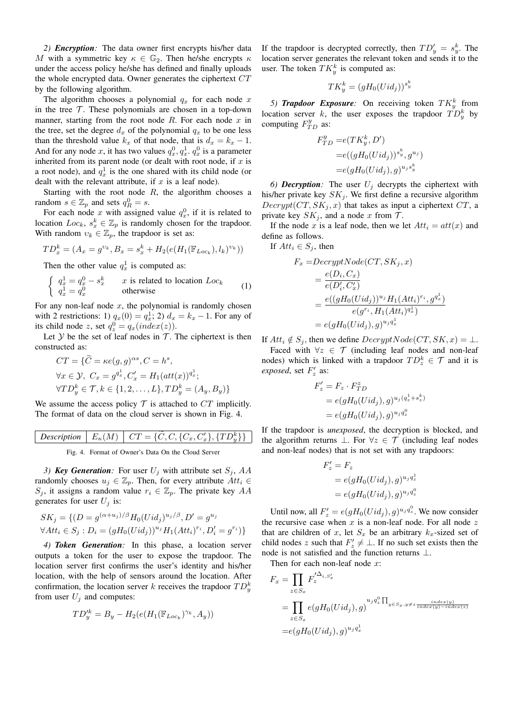*2) Encryption:* The data owner first encrypts his/her data M with a symmetric key  $\kappa \in \mathbb{G}_2$ . Then he/she encrypts  $\kappa$ under the access policy he/she has defined and finally uploads the whole encrypted data. Owner generates the ciphertext  $CT$ by the following algorithm.

The algorithm chooses a polynomial  $q_x$  for each node x in the tree  $T$ . These polynomials are chosen in a top-down manner, starting from the root node  $R$ . For each node  $x$  in the tree, set the degree  $d_x$  of the polynomial  $q_x$  to be one less than the threshold value  $k_x$  of that node, that is  $d_x = k_x - 1$ . And for any node x, it has two values  $q_x^0, q_x^1, q_x^0$  is a parameter inherited from its parent node (or dealt with root node, if  $x$  is a root node), and  $q_x^1$  is the one shared with its child node (or dealt with the relevant attribute, if  $x$  is a leaf node).

Starting with the root node  $R$ , the algorithm chooses a random  $s \in \mathbb{Z}_p$  and sets  $q_R^0 = s$ .

For each node x with assigned value  $q_x^0$ , if it is related to location  $Loc_k$ ,  $s_x^k \in \mathbb{Z}_p$  is randomly chosen for the trapdoor. With random  $v_k \in \mathbb{Z}_p$ , the trapdoor is set as:

$$
TD_x^k = (A_x = g^{v_k}, B_x = s_x^k + H_2(e(H_1(\mathbb{F}_{Loc_k}), l_k)^{v_k}))
$$

Then the other value  $q_x^1$  is computed as:

$$
\begin{cases}\n q_x^1 = q_x^0 - s_x^k & x \text{ is related to location } Loc_k \\
 q_x^1 = q_x^0 & \text{otherwise}\n\end{cases}
$$
\n(1)

For any non-leaf node  $x$ , the polynomial is randomly chosen with 2 restrictions: 1)  $q_x(0) = q_x^1$ ; 2)  $d_x = k_x - 1$ . For any of its child node z, set  $q_z^0 = q_x(index(z)).$ 

Let  $Y$  be the set of leaf nodes in  $T$ . The ciphertext is then constructed as:

$$
CT = \{\widetilde{C} = \kappa e(g, g)^{\alpha s}, C = h^s,
$$
  
\n
$$
\forall x \in \mathcal{Y}, C_x = g^{q_x^1}, C'_x = H_1 (att(x))^{q_x^1};
$$
  
\n
$$
\forall TD_y^k \in \mathcal{T}, k \in \{1, 2, \dots, L\}, TD_y^k = (A_y, B_y)\}
$$

We assume the access policy  $T$  is attached to  $CT$  implicitly. The format of data on the cloud server is shown in Fig. 4.

*Description* 
$$
E_{\kappa}(M)
$$
  $CT = {\tilde{C}, C, {C_x, C'_x}, {TD_y^k}}$ 

*3) Key Generation:* For user  $U_i$  with attribute set  $S_i$ , AA randomly chooses  $u_j \in \mathbb{Z}_p$ . Then, for every attribute  $Att_i \in$  $S_j$ , it assigns a random value  $r_i \in \mathbb{Z}_p$ . The private key AA generates for user  $U_j$  is:

$$
SK_j = \{ (D = g^{(\alpha + u_j)/\beta} H_0(Uid_j)^{u_j/\beta}, D' = g^{u_j} \}
$$
  

$$
\forall Att_i \in S_j : D_i = (gH_0(Uid_j))^{u_j} H_1(Att_i)^{r_i}, D'_i = g^{r_i} \}
$$

*4) Token Generation:* In this phase, a location server outputs a token for the user to expose the trapdoor. The location server first confirms the user's identity and his/her location, with the help of sensors around the location. After confirmation, the location server k receives the trapdoor  $TD_y^k$ from user  $U_j$  and computes:

$$
TD_y^{\prime k} = B_y - H_2(e(H_1(\mathbb{F}_{Loc_k})^{\gamma_k}, A_y))
$$

If the trapdoor is decrypted correctly, then  $TD'_y = s_y^k$ . The location server generates the relevant token and sends it to the user. The token  $TK_y^k$  is computed as:

$$
TK_y^k = (gH_0(Uid_j))^{s_y^k}
$$

5) **Trapdoor Exposure**: On receiving token  $TK_y^k$  from location server k, the user exposes the trapdoor  $\overline{TD}_y^k$  by computing  $F_{TD}^y$  as:

$$
F_{TD}^y = e(TK_y^k, D')
$$
  
=  $e((gH_0(Uid_j))^{s_y^k}, g^{u_j})$   
=  $e(gH_0(Uid_j), g)^{u_j s_y^k}$ 

6) *Decryption*: The user  $U_i$  decrypts the ciphertext with his/her private key  $SK_i$ . We first define a recursive algorithm  $Decrypt(CT, SK<sub>i</sub>, x)$  that takes as input a ciphertext  $CT$ , a private key  $SK_i$ , and a node x from  $\mathcal{T}$ .

If the node x is a leaf node, then we let  $Att_i = att(x)$  and define as follows.

If  $Att_i \in S_j$ , then

$$
F_x = DecryptNode(CT, SK_j, x)
$$
  
= 
$$
\frac{e(D_i, C_x)}{e(D_i', C_x')}
$$
  
= 
$$
\frac{e((gH_0(Uid_j))^{u_j}H_1(Att_i)^{r_i}, g^{q_x^1})}{e(g^{r_i}, H_1(Att_i)^{q_x^1})}
$$
  
= 
$$
e(gH_0(Uid_j), g)^{u_j q_x^{1}}
$$

If  $Att_i \notin S_j$ , then we define  $DecryptNode(CT, SK, x) = \bot$ .

Faced with  $\forall z \in \mathcal{T}$  (including leaf nodes and non-leaf nodes) which is linked with a trapdoor  $TD_z^k \in \mathcal{T}$  and it is *exposed*, set  $F'_z$  as:

$$
F'_{z} = F_{z} \cdot F_{TD}^{z}
$$
  
=  $e(gH_0(Uid_j), g)^{u_j(q_z^1 + s_z^k)}$   
=  $e(gH_0(Uid_j), g)^{u_j q_z^0}$ 

If the trapdoor is *unexposed*, the decryption is blocked, and the algorithm returns  $\bot$ . For  $\forall z \in \mathcal{T}$  (including leaf nodes and non-leaf nodes) that is not set with any trapdoors:

$$
F'_{z} = F_{z}
$$
  
=  $e(gH_0(Uid_j), g)^{u_j q_z^1}$   
=  $e(gH_0(Uid_j), g)^{u_j q_z^0}$ 

Until now, all  $F'_z = e(gH_0(Uid_j), g)^{u_j q_z^0}$ . We now consider the recursive case when  $x$  is a non-leaf node. For all node  $z$ that are children of x, let  $S_x$  be an arbitrary  $k_x$ -sized set of child nodes z such that  $F'_z \neq \bot$ . If no such set exists then the node is not satisfied and the function returns ⊥.

Then for each non-leaf node  $x$ :

$$
F_x = \prod_{z \in S_x} F_z^{\prime \Delta_{i,S_x'}}
$$
  
= 
$$
\prod_{z \in S_x} e(gH_0(Uid_j), g)^{u_j q_x^0 \prod_{y \in S_x, y \neq z} \frac{index(y)}{index(y) - index(z)}}{= e(gH_0(Uid_j), g)^{u_j q_x^1}}
$$

Fig. 4. Format of Owner's Data On the Cloud Server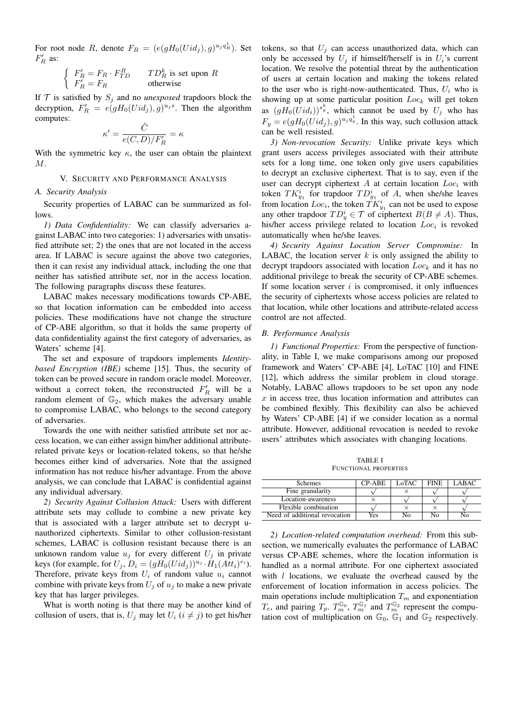For root node R, denote  $F_R = (e(gH_0(Uid_j), g)^{u_j q_R^1})$ . Set  $F'_R$  as:

$$
\begin{cases}\nF'_R = F_R \cdot F_{TD}^R & TD_R^k \text{ is set upon } R \\
F'_R = F_R & \text{otherwise}\n\end{cases}
$$

If  $T$  is satisfied by  $S_j$  and no *unexposed* trapdoors block the decryption,  $F'_R = e(gH_0(Uid_j), g)^{u_j s}$ . Then the algorithm computes:

$$
\kappa' = \frac{\tilde{C}}{e(C, D)/F'_R} = \kappa
$$

With the symmetric key  $\kappa$ , the user can obtain the plaintext  $M$ .

## V. SECURITY AND PERFORMANCE ANALYSIS

# *A. Security Analysis*

Security properties of LABAC can be summarized as follows.

*1) Data Confidentiality:* We can classify adversaries against LABAC into two categories: 1) adversaries with unsatisfied attribute set; 2) the ones that are not located in the access area. If LABAC is secure against the above two categories, then it can resist any individual attack, including the one that neither has satisfied attribute set, nor in the access location. The following paragraphs discuss these features.

LABAC makes necessary modifications towards CP-ABE, so that location information can be embedded into access policies. These modifications have not change the structure of CP-ABE algorithm, so that it holds the same property of data confidentiality against the first category of adversaries, as Waters' scheme [4].

The set and exposure of trapdoors implements *Identitybased Encryption (IBE)* scheme [15]. Thus, the security of token can be proved secure in random oracle model. Moreover, without a correct token, the reconstructed  $F'_R$  will be a random element of  $\mathbb{G}_2$ , which makes the adversary unable to compromise LABAC, who belongs to the second category of adversaries.

Towards the one with neither satisfied attribute set nor access location, we can either assign him/her additional attributerelated private keys or location-related tokens, so that he/she becomes either kind of adversaries. Note that the assigned information has not reduce his/her advantage. From the above analysis, we can conclude that LABAC is confidential against any individual adversary.

*2) Security Against Collusion Attack:* Users with different attribute sets may collude to combine a new private key that is associated with a larger attribute set to decrypt unauthorized ciphertexts. Similar to other collusion-resistant schemes, LABAC is collusion resistant because there is an unknown random value  $u_i$  for every different  $U_i$  in private keys (for example, for  $U_i$ ,  $D_i = (gH_0(Uid_i))^{u_j} \cdot H_1(Att_i)^{r_i}$ ). Therefore, private keys from  $U_i$  of random value  $u_i$  cannot combine with private keys from  $U_j$  of  $u_j$  to make a new private key that has larger privileges.

What is worth noting is that there may be another kind of collusion of users, that is,  $U_i$  may let  $U_i$   $(i \neq j)$  to get his/her

tokens, so that  $U_j$  can access unauthorized data, which can only be accessed by  $U_j$  if himself/herself is in  $U_i$ 's current location. We resolve the potential threat by the authentication of users at certain location and making the tokens related to the user who is right-now-authenticated. Thus,  $U_i$  who is showing up at some particular position  $Loc<sub>k</sub>$  will get token as  $(gH_0(\tilde{U}id_i))^{s_y^k}$ , which cannot be used by  $U_j$  who has  $F_y = e(gH_0(Uid_j), g)^{u_j q_y^1}$ . In this way, such collusion attack can be well resisted.

*3) Non-revocation Security:* Unlike private keys which grant users access privileges associated with their attribute sets for a long time, one token only give users capabilities to decrypt an exclusive ciphertext. That is to say, even if the user can decrypt ciphertext  $A$  at certain location  $Loc<sub>i</sub>$  with token  $TK_{y_1}^i$  for trapdoor  $TD_{y_1}^i$  of A, when she/she leaves from location  $Loc_i$ , the token  $\tilde{TK}_{y_1}^i$  can not be used to expose any other trapdoor  $TD_y^i \in \mathcal{T}$  of ciphertext  $B(B \neq A)$ . Thus, his/her access privilege related to location  $Loc<sub>i</sub>$  is revoked automatically when he/she leaves.

*4) Security Against Location Server Compromise:* In LABAC, the location server  $k$  is only assigned the ability to decrypt trapdoors associated with location  $Loc<sub>k</sub>$  and it has no additional privilege to break the security of CP-ABE schemes. If some location server  $i$  is compromised, it only influences the security of ciphertexts whose access policies are related to that location, while other locations and attribute-related access control are not affected.

## *B. Performance Analysis*

*1) Functional Properties:* From the perspective of functionality, in Table I, we make comparisons among our proposed framework and Waters' CP-ABE [4], LoTAC [10] and FINE [12], which address the similar problem in cloud storage. Notably, LABAC allows trapdoors to be set upon any node  $x$  in access tree, thus location information and attributes can be combined flexibly. This flexibility can also be achieved by Waters' CP-ABE [4] if we consider location as a normal attribute. However, additional revocation is needed to revoke users' attributes which associates with changing locations.

TABLE I FUNCTIONAL PROPERTIES

| <b>Schemes</b>                | $CP-ABE$ | LoTAC | <b>FINE</b> | LABAC: |
|-------------------------------|----------|-------|-------------|--------|
| Fine granularity              |          |       |             |        |
| Location-awareness            |          |       |             |        |
| Flexible combination          |          |       |             |        |
| Need of additional revocation | Yes      | Ν∩    |             |        |

*2) Location-related computation overhead:* From this subsection, we numerically evaluates the performance of LABAC versus CP-ABE schemes, where the location information is handled as a normal attribute. For one ciphertext associated with  $l$  locations, we evaluate the overhead caused by the enforcement of location information in access policies. The main operations include multiplication  $T_m$  and exponentiation  $T_e$ , and pairing  $T_p$ .  $T_m^{\mathbb{G}_0}$ ,  $T_m^{\mathbb{G}_1}$  and  $T_m^{\mathbb{G}_2}$  represent the computation cost of multiplication on  $\mathbb{G}_0$ ,  $\mathbb{G}_1$  and  $\mathbb{G}_2$  respectively.